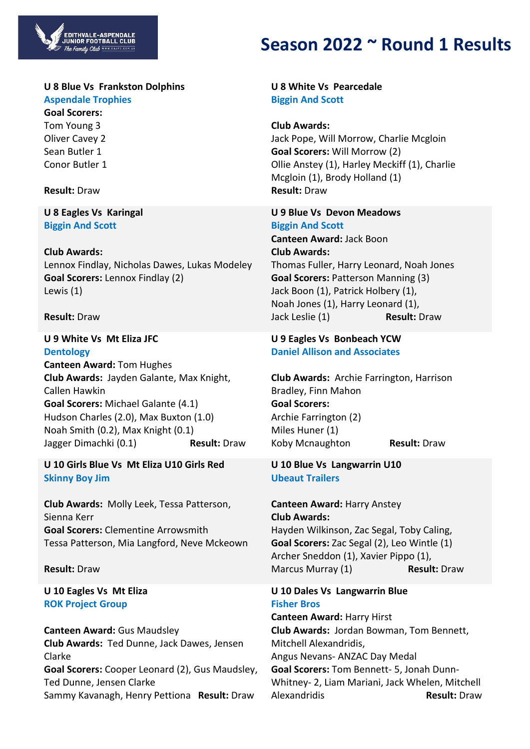

# **U 8 Blue Vs Frankston Dolphins**

**Aspendale Trophies Goal Scorers:**

Tom Young 3 Oliver Cavey 2 Sean Butler 1 Conor Butler 1

# **Result:** Draw

**U 8 Eagles Vs Karingal Biggin And Scott**

# **Club Awards:**

Lennox Findlay, Nicholas Dawes, Lukas Modeley **Goal Scorers:** Lennox Findlay (2) Lewis (1)

# **Result:** Draw

**U 9 White Vs Mt Eliza JFC Dentology Canteen Award:** Tom Hughes **Club Awards:** Jayden Galante, Max Knight, Callen Hawkin **Goal Scorers:** Michael Galante (4.1) Hudson Charles (2.0), Max Buxton (1.0) Noah Smith (0.2), Max Knight (0.1) Jagger Dimachki (0.1) **Result:** Draw

**U 10 Girls Blue Vs Mt Eliza U10 Girls Red Skinny Boy Jim**

**Club Awards:** Molly Leek, Tessa Patterson, Sienna Kerr **Goal Scorers:** Clementine Arrowsmith Tessa Patterson, Mia Langford, Neve Mckeown

#### **Result:** Draw

# **U 10 Eagles Vs Mt Eliza ROK Project Group**

**Canteen Award:** Gus Maudsley **Club Awards:** Ted Dunne, Jack Dawes, Jensen Clarke **Goal Scorers:** Cooper Leonard (2), Gus Maudsley, Ted Dunne, Jensen Clarke Sammy Kavanagh, Henry Pettiona **Result:** Draw

# **Season 2022 ~ Round 1 Results**

**U 8 White Vs Pearcedale Biggin And Scott**

**Club Awards:** Jack Pope, Will Morrow, Charlie Mcgloin **Goal Scorers:** Will Morrow (2) Ollie Anstey (1), Harley Meckiff (1), Charlie Mcgloin (1), Brody Holland (1) **Result:** Draw

# **U 9 Blue Vs Devon Meadows Biggin And Scott Canteen Award:** Jack Boon **Club Awards:** Thomas Fuller, Harry Leonard, Noah Jones

**Goal Scorers:** Patterson Manning (3) Jack Boon (1), Patrick Holbery (1), Noah Jones (1), Harry Leonard (1), Jack Leslie (1) **Result:** Draw

#### **U 9 Eagles Vs Bonbeach YCW Daniel Allison and Associates**

**Club Awards:** Archie Farrington, Harrison Bradley, Finn Mahon **Goal Scorers:** Archie Farrington (2) Miles Huner (1) Koby Mcnaughton **Result:** Draw

# **U 10 Blue Vs Langwarrin U10 Ubeaut Trailers**

**Canteen Award:** Harry Anstey **Club Awards:** Hayden Wilkinson, Zac Segal, Toby Caling, **Goal Scorers:** Zac Segal (2), Leo Wintle (1) Archer Sneddon (1), Xavier Pippo (1), Marcus Murray (1) **Result:** Draw

**U 10 Dales Vs Langwarrin Blue Fisher Bros**

**Canteen Award:** Harry Hirst **Club Awards:** Jordan Bowman, Tom Bennett, Mitchell Alexandridis, Angus Nevans- ANZAC Day Medal **Goal Scorers:** Tom Bennett- 5, Jonah Dunn-Whitney- 2, Liam Mariani, Jack Whelen, Mitchell Alexandridis **Result:** Draw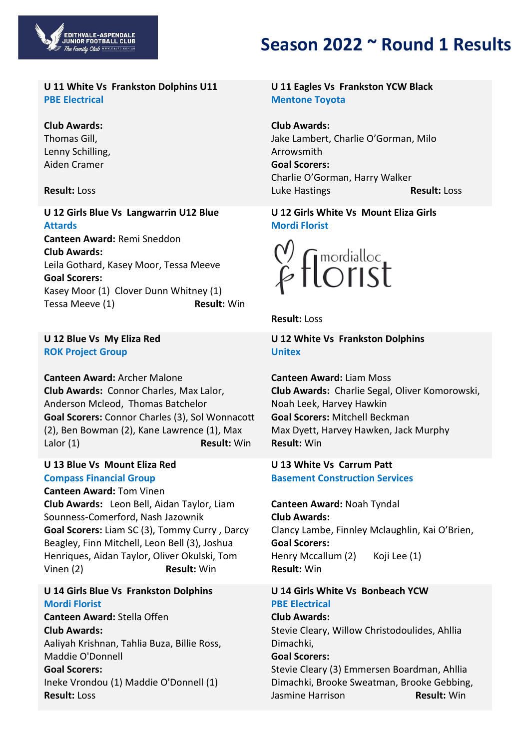

#### **U 11 White Vs Frankston Dolphins U11 PBE Electrical**

# **Club Awards:**

Thomas Gill, Lenny Schilling, Aiden Cramer

#### **Result:** Loss

**U 12 Girls Blue Vs Langwarrin U12 Blue Attards Canteen Award:** Remi Sneddon **Club Awards:** Leila Gothard, Kasey Moor, Tessa Meeve **Goal Scorers:** Kasey Moor (1) Clover Dunn Whitney (1) Tessa Meeve (1) **Result:** Win

#### **U 12 Blue Vs My Eliza Red ROK Project Group**

**Canteen Award:** Archer Malone **Club Awards:** Connor Charles, Max Lalor, Anderson Mcleod, Thomas Batchelor **Goal Scorers:** Connor Charles (3), Sol Wonnacott (2), Ben Bowman (2), Kane Lawrence (1), Max Lalor (1) **Result:** Win

#### **U 13 Blue Vs Mount Eliza Red Compass Financial Group**

**Canteen Award:** Tom Vinen **Club Awards:** Leon Bell, Aidan Taylor, Liam Sounness-Comerford, Nash Jazownik **Goal Scorers:** Liam SC (3), Tommy Curry , Darcy Beagley, Finn Mitchell, Leon Bell (3), Joshua Henriques, Aidan Taylor, Oliver Okulski, Tom Vinen (2) **Result:** Win

# **U 14 Girls Blue Vs Frankston Dolphins Mordi Florist**

**Canteen Award:** Stella Offen **Club Awards:** Aaliyah Krishnan, Tahlia Buza, Billie Ross, Maddie O'Donnell

#### **Goal Scorers:** Ineke Vrondou (1) Maddie O'Donnell (1) **Result:** Loss

# **Season 2022 ~ Round 1 Results**

# **U 11 Eagles Vs Frankston YCW Black Mentone Toyota**

**Club Awards:** Jake Lambert, Charlie O'Gorman, Milo Arrowsmith **Goal Scorers:** Charlie O'Gorman, Harry Walker Luke Hastings **Result:** Loss

### **U 12 Girls White Vs Mount Eliza Girls Mordi Florist**



**Result:** Loss

**U 12 White Vs Frankston Dolphins Unitex**

**Canteen Award:** Liam Moss **Club Awards:** Charlie Segal, Oliver Komorowski, Noah Leek, Harvey Hawkin **Goal Scorers:** Mitchell Beckman Max Dyett, Harvey Hawken, Jack Murphy **Result:** Win

# **U 13 White Vs Carrum Patt Basement Construction Services**

**Canteen Award:** Noah Tyndal **Club Awards:** Clancy Lambe, Finnley Mclaughlin, Kai O'Brien, **Goal Scorers:** Henry Mccallum (2) Koji Lee (1) **Result:** Win

# **U 14 Girls White Vs Bonbeach YCW PBE Electrical**

**Club Awards:** Stevie Cleary, Willow Christodoulides, Ahllia Dimachki,

#### **Goal Scorers:**

Stevie Cleary (3) Emmersen Boardman, Ahllia Dimachki, Brooke Sweatman, Brooke Gebbing, Jasmine Harrison **Result:** Win